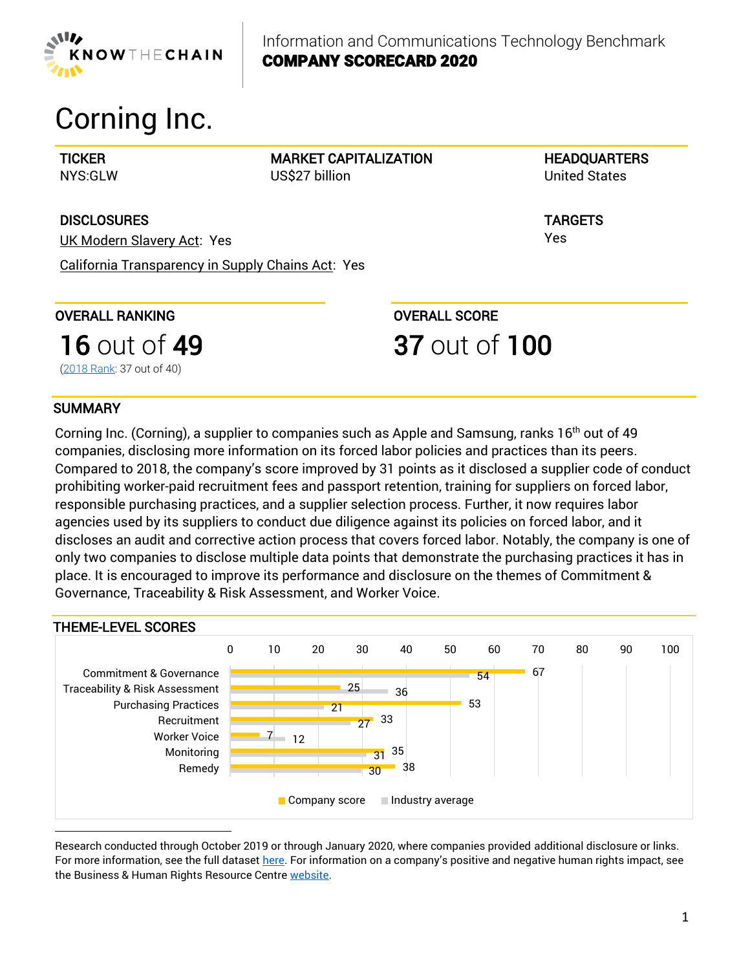

Information and Communications Technology Benchmark COMPANY SCORECARD 2020

# Corning Inc.

**TICKER** NYS:GLW MARKET CAPITALIZATION US\$27 billion

**HEADQUARTERS** United States

TARGETS Yes

**DISCLOSURES** UK Modern Slavery Act: Yes

California Transparency in Supply Chains Act: Yes

OVERALL RANKING

[\(2018 Rank:](https://knowthechain.org/wp-content/plugins/ktc-benchmark/app/public/images/company_reports/2018_KTC_Company_Scorecard_Corning.pdf) 37 out of 40)

**16** out of **49** 

OVERALL SCORE

# 37 out of 100

# **SUMMARY**

Corning Inc. (Corning), a supplier to companies such as Apple and Samsung, ranks  $16<sup>th</sup>$  out of 49 companies, disclosing more information on its forced labor policies and practices than its peers. Compared to 2018, the company's score improved by 31 points as it disclosed a supplier code of conduct prohibiting worker-paid recruitment fees and passport retention, training for suppliers on forced labor, responsible purchasing practices, and a supplier selection process. Further, it now requires labor agencies used by its suppliers to conduct due diligence against its policies on forced labor, and it discloses an audit and corrective action process that covers forced labor. Notably, the company is one of only two companies to disclose multiple data points that demonstrate the purchasing practices it has in place. It is encouraged to improve its performance and disclosure on the themes of Commitment & Governance, Traceability & Risk Assessment, and Worker Voice.



Research conducted through October 2019 or through January 2020, where companies provided additional disclosure or links. For more information, see the full dataset [here.](https://knowthechain.org/wp-content/uploads/2020-KTC-ICT-Benchmark-Data-Set.xlsx) For information on a company's positive and negative human rights impact, see the Business & Human Rights Resource Centre [website.](https://www.business-humanrights.org/en/corning)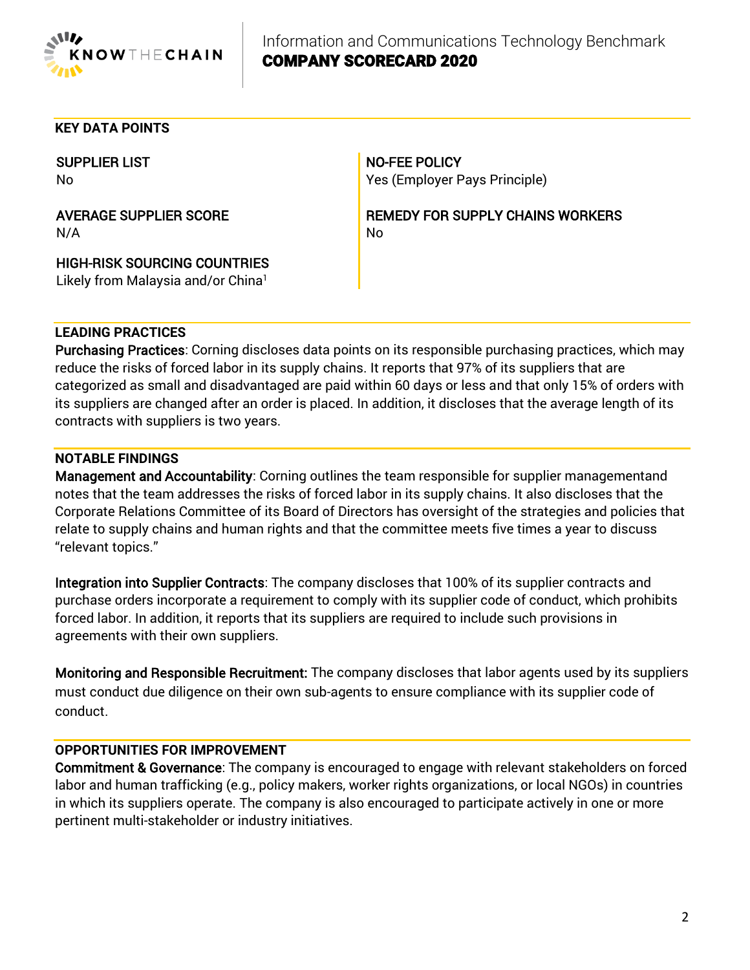

### **KEY DATA POINTS**

SUPPLIER LIST No

AVERAGE SUPPLIER SCORE N/A

HIGH-RISK SOURCING COUNTRIES Likely from Malaysia and/or China<sup>1</sup>

NO-FEE POLICY Yes (Employer Pays Principle)

REMEDY FOR SUPPLY CHAINS WORKERS No

### **LEADING PRACTICES**

Purchasing Practices: Corning discloses data points on its responsible purchasing practices, which may reduce the risks of forced labor in its supply chains. It reports that 97% of its suppliers that are categorized as small and disadvantaged are paid within 60 days or less and that only 15% of orders with its suppliers are changed after an order is placed. In addition, it discloses that the average length of its contracts with suppliers is two years.

#### **NOTABLE FINDINGS**

Management and Accountability: Corning outlines the team responsible for supplier managementand notes that the team addresses the risks of forced labor in its supply chains. It also discloses that the Corporate Relations Committee of its Board of Directors has oversight of the strategies and policies that relate to supply chains and human rights and that the committee meets five times a year to discuss "relevant topics."

Integration into Supplier Contracts: The company discloses that 100% of its supplier contracts and purchase orders incorporate a requirement to comply with its supplier code of conduct, which prohibits forced labor. In addition, it reports that its suppliers are required to include such provisions in agreements with their own suppliers.

Monitoring and Responsible Recruitment: The company discloses that labor agents used by its suppliers must conduct due diligence on their own sub-agents to ensure compliance with its supplier code of conduct.

## **OPPORTUNITIES FOR IMPROVEMENT**

Commitment & Governance: The company is encouraged to engage with relevant stakeholders on forced labor and human trafficking (e.g., policy makers, worker rights organizations, or local NGOs) in countries in which its suppliers operate. The company is also encouraged to participate actively in one or more pertinent multi-stakeholder or industry initiatives.